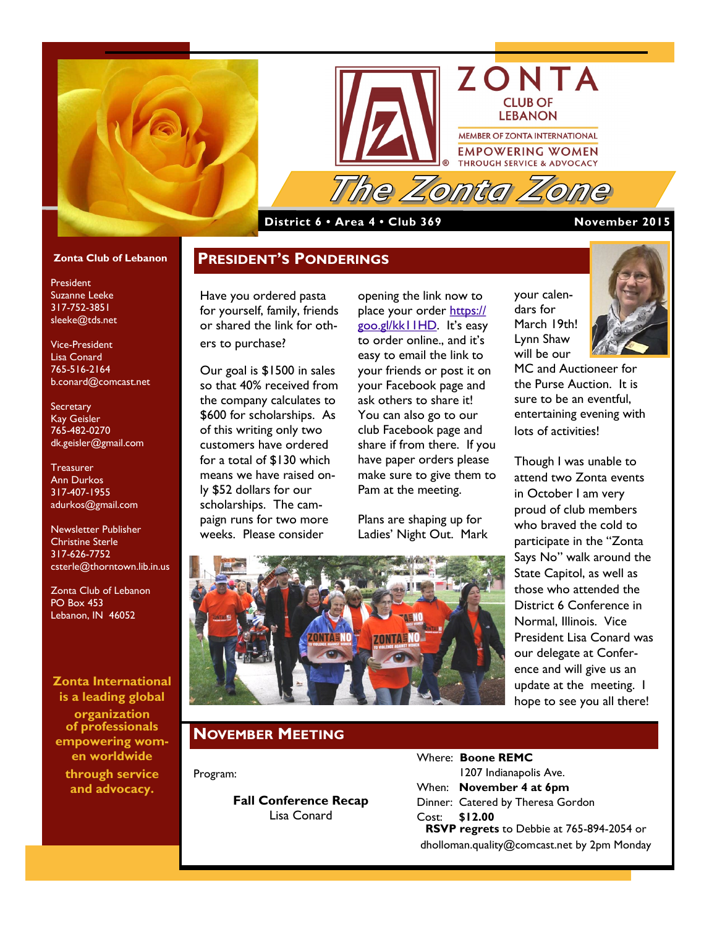



#### **District 6 • Area 4 • Club 369 November 2015**

your calendars for March 19th! Lynn Shaw will be our

MC and Auctioneer for the Purse Auction. It is sure to be an eventful, entertaining evening with

Though I was unable to attend two Zonta events in October I am very proud of club members who braved the cold to

lots of activities!

#### **Zonta Club of Lebanon**

President Suzanne Leeke 317-752-3851 sleeke@tds.net

Vice-President Lisa Conard 765-516-2164 b.conard@comcast.net

**Secretary** Kay Geisler 765-482-0270 dk.geisler@gmail.com

**Treasurer** Ann Durkos 317-407-1955 adurkos@gmail.com

Newsletter Publisher Christine Sterle 317-626-7752 csterle@thorntown.lib.in.us

Zonta Club of Lebanon PO Box 453 Lebanon, IN 46052

**Zonta International is a leading global** 

**organization of professionals empowering women worldwide through service and advocacy.**

Have you ordered pasta for yourself, family, friends or shared the link for others to purchase?

**PRESIDENT'S PONDERINGS**

Our goal is \$1500 in sales so that 40% received from the company calculates to \$600 for scholarships. As of this writing only two customers have ordered for a total of \$130 which means we have raised only \$52 dollars for our scholarships. The campaign runs for two more weeks. Please consider

opening the link now to place your order [https://](https://goo.gl/kk11HD) [goo.gl/kk11HD](https://goo.gl/kk11HD). It's easy to order online., and it's easy to email the link to your friends or post it on your Facebook page and ask others to share it! You can also go to our club Facebook page and share if from there. If you have paper orders please make sure to give them to Pam at the meeting.

Plans are shaping up for Ladies' Night Out. Mark



### **NOVEMBER MEETING**

Program:

**Fall Conference Recap** Lisa Conard

| ight Out. Mark | participate in the "Zonta        |
|----------------|----------------------------------|
|                | Says No" walk around the         |
|                | State Capitol, as well as        |
|                | those who attended the           |
|                | District 6 Conference in         |
|                | Normal, Illinois. Vice           |
|                | <b>President Lisa Conard was</b> |
|                | our delegate at Confer-          |
|                | ence and will give us an         |
|                | update at the meeting. I         |
|                | hope to see you all there!       |
|                |                                  |
|                |                                  |

Where: **Boone REMC** 1207 Indianapolis Ave. When: **November 4 at 6pm** Dinner: Catered by Theresa Gordon Cost: **\$12.00 RSVP regrets** to Debbie at 765-894-2054 or dholloman.quality@comcast.net by 2pm Monday